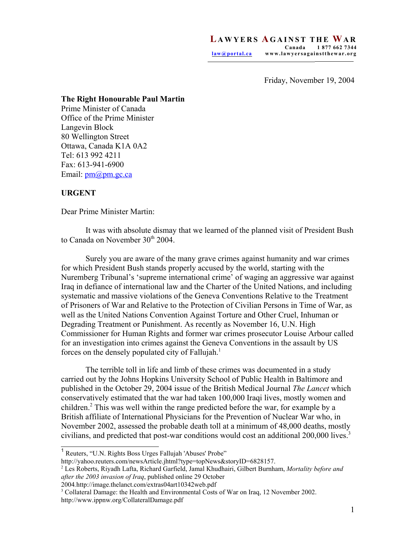Friday, November 19, 2004

## **The Right Honourable Paul Martin**

Prime Minister of Canada Office of the Prime Minister Langevin Block 80 Wellington Street Ottawa, Canada K1A 0A2 Tel: 613 992 4211 Fax: 613-941-6900 Email: <u>pm</u>@pm.gc.ca

## **URGENT**

Dear Prime Minister Martin:

It was with absolute dismay that we learned of the planned visit of President Bush to Canada on November 30<sup>th</sup> 2004.

Surely you are aware of the many grave crimes against humanity and war crimes for which President Bush stands properly accused by the world, starting with the Nuremberg Tribunal's 'supreme international crime' of waging an aggressive war against Iraq in defiance of international law and the Charter of the United Nations, and including systematic and massive violations of the Geneva Conventions Relative to the Treatment of Prisoners of War and Relative to the Protection of Civilian Persons in Time of War, as well as the United Nations Convention Against Torture and Other Cruel, Inhuman or Degrading Treatment or Punishment. As recently as November 16, U.N. High Commissioner for Human Rights and former war crimes prosecutor Louise Arbour called for an investigation into crimes against the Geneva Conventions in the assault by US forces on the densely populated city of Fallujah.<sup>1</sup>

The terrible toll in life and limb of these crimes was documented in a study carried out by the Johns Hopkins University School of Public Health in Baltimore and published in the October 29, 2004 issue of the British Medical Journal *The Lancet* which conservatively estimated that the war had taken 100,000 Iraqi lives, mostly women and children.<sup>2</sup> This was well within the range predicted before the war, for example by a British affiliate of International Physicians for the Prevention of Nuclear War who, in November 2002, assessed the probable death toll at a minimum of 48,000 deaths, mostly civilians, and predicted that post-war conditions would cost an additional 200,000 lives.<sup>3</sup>

<sup>&</sup>lt;sup>1</sup> Reuters, "U.N. Rights Boss Urges Fallujah 'Abuses' Probe"

http://yahoo.reuters.com/newsArticle.jhtml?type=topNews&storyID=6828157.

<sup>2</sup> Les Roberts, Riyadh Lafta, Richard Garfield, Jamal Khudhairi, Gilbert Burnham, *Mortality before and after the 2003 invasion of Iraq*, published online 29 October

<sup>2004</sup>*.*http://image.thelanct.com/extras04art10342web.pdf

<sup>&</sup>lt;sup>3</sup> Collateral Damage: the Health and Environmental Costs of War on Iraq, 12 November 2002. http://www.ippnw.org/CollateralDamage.pdf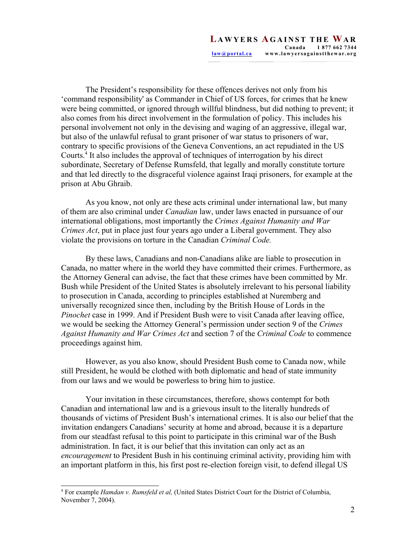The President's responsibility for these offences derives not only from his 'command responsibility' as Commander in Chief of US forces, for crimes that he knew were being committed, or ignored through willful blindness, but did nothing to prevent; it also comes from his direct involvement in the formulation of policy. This includes his personal involvement not only in the devising and waging of an aggressive, illegal war, but also of the unlawful refusal to grant prisoner of war status to prisoners of war, contrary to specific provisions of the Geneva Conventions, an act repudiated in the US Courts.<sup>4</sup> It also includes the approval of techniques of interrogation by his direct subordinate, Secretary of Defense Rumsfeld, that legally and morally constitute torture and that led directly to the disgraceful violence against Iraqi prisoners, for example at the prison at Abu Ghraib.

As you know, not only are these acts criminal under international law, but many of them are also criminal under *Canadian* law, under laws enacted in pursuance of our international obligations, most importantly the *Crimes Against Humanity and War Crimes Act*, put in place just four years ago under a Liberal government. They also violate the provisions on torture in the Canadian *Criminal Code.*

By these laws, Canadians and non-Canadians alike are liable to prosecution in Canada, no matter where in the world they have committed their crimes. Furthermore, as the Attorney General can advise, the fact that these crimes have been committed by Mr. Bush while President of the United States is absolutely irrelevant to his personal liability to prosecution in Canada, according to principles established at Nuremberg and universally recognized since then, including by the British House of Lords in the *Pinochet* case in 1999. And if President Bush were to visit Canada after leaving office, we would be seeking the Attorney General's permission under section 9 of the *Crimes Against Humanity and War Crimes Act* and section 7 of the *Criminal Code* to commence proceedings against him.

However, as you also know, should President Bush come to Canada now, while still President, he would be clothed with both diplomatic and head of state immunity from our laws and we would be powerless to bring him to justice.

Your invitation in these circumstances, therefore, shows contempt for both Canadian and international law and is a grievous insult to the literally hundreds of thousands of victims of President Bush's international crimes. It is also our belief that the invitation endangers Canadians' security at home and abroad, because it is a departure from our steadfast refusal to this point to participate in this criminal war of the Bush administration. In fact, it is our belief that this invitation can only act as an *encouragement* to President Bush in his continuing criminal activity, providing him with an important platform in this, his first post re-election foreign visit, to defend illegal US

<sup>4</sup> For example *Hamdan v. Rumsfeld et al,* (United States District Court for the District of Columbia, November 7, 2004).